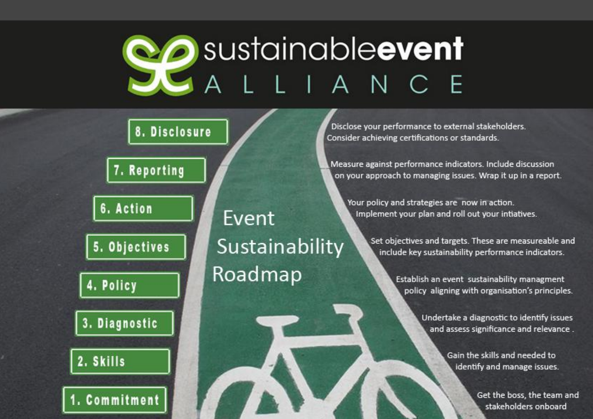# **Po** sustainableevent LLIANCE

# 8. Disclosure

7. Reporting

6. Action

5. Objectives

4. Policy

3. Diagnostic

2. Skills

1. Commitment

Event Sustainability Roadmap

Disclose your performance to external stakeholders. Consider achieving certifications or standards.

Measure against performance indicators. Include discussion on your approach to managing issues. Wrap it up in a report.

Your policy and strategies are now in action. Implement your plan and roll out your intiatives.

> Set objectives and targets. These are measureable and include key sustainability performance indicators.

> > Establish an event sustainability managment policy aligning with organisation's principles.

> > > Undertake a diagnostic to identify issues and assess significance and relevance.

> > > > Gain the skills and needed to identify and manage issues.

> > > > > Get the boss, the team and stakeholders onboard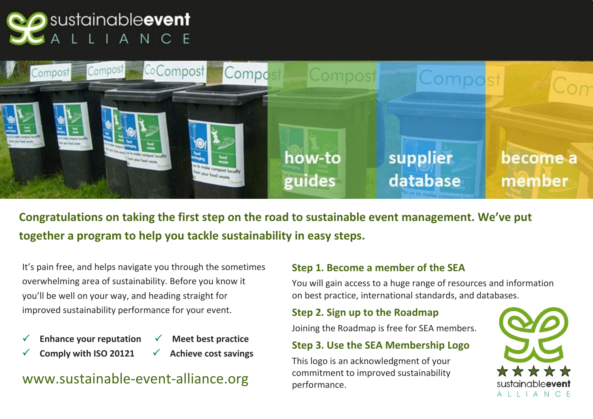



**Congratulations on taking the first step on the road to sustainable event management. We've put together a program to help you tackle sustainability in easy steps.** 

It's pain free, and helps navigate you through the sometimes overwhelming area of sustainability. Before you know it you'll be well on your way, and heading straight for improved sustainability performance for your event.

- Enhance your reputation  $\checkmark$  Meet best practice
	- Comply with ISO 20121  $\checkmark$  Achieve cost savings

### [www.sustainable-event-alliance.org](http://www.sustainable-event-alliance.org)

#### **Step 1. Become a member of the SEA**

You will gain access to a huge range of resources and information on best practice, international standards, and databases.

#### **Step 2. Sign up to the Roadmap**

Joining the Roadmap is free for SEA members.

#### **Step 3. Use the SEA Membership Logo**

This logo is an acknowledgment of your commitment to improved sustainability performance.

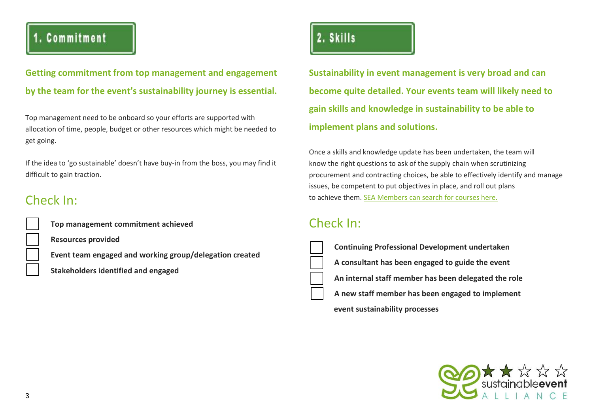### 1. Commitment

**Getting commitment from top management and engagement by the team for the event's sustainability journey is essential.**

Top management need to be onboard so your efforts are supported with allocation of time, people, budget or other resources which might be needed to get going.

If the idea to 'go sustainable' doesn't have buy-in from the boss, you may find it difficult to gain traction.

### Check In:

**Top management commitment achieved** 

 **Resources provided** 

 **Event team engaged and working group/delegation created** 

 **Stakeholders identified and engaged** 

### 2. Skills

**Sustainability in event management is very broad and can become quite detailed. Your events team will likely need to gain skills and knowledge in sustainability to be able to implement plans and solutions.**

Once a skills and knowledge update has been undertaken, the team will know the right questions to ask of the supply chain when scrutinizing procurement and contracting choices, be able to effectively identify and manage issues, be competent to put objectives in place, and roll out plans to achieve them. [SEA Members can search for courses here.](http://sustainable-event-alliance.org/?cat=17) 

### Check In:

| <b>Continuing Professional Development undertaken</b> |
|-------------------------------------------------------|
| A consultant has been engaged to guide the event      |
| An internal staff member has been delegated the role  |
| A new staff member has been engaged to implement      |
| event sustainability processes                        |

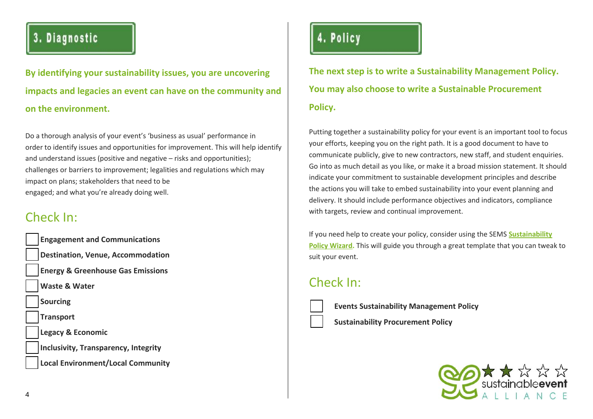### 3. Diagnostic

**By identifying your sustainability issues, you are uncovering impacts and legacies an event can have on the community and on the environment.**

Do a thorough analysis of your event's 'business as usual' performance in order to identify issues and opportunities for improvement. This will help identify and understand issues (positive and negative – risks and opportunities); challenges or barriers to improvement; legalities and regulations which may impact on plans; stakeholders that need to be engaged; and what you're already doing well.

### Check In:

| <b>Engagement and Communications</b>         |
|----------------------------------------------|
| <b>Destination, Venue, Accommodation</b>     |
| <b>Energy &amp; Greenhouse Gas Emissions</b> |
| <b>Waste &amp; Water</b>                     |
| <b>Sourcing</b>                              |
| <b>Transport</b>                             |
| <b>Legacy &amp; Economic</b>                 |
| <b>Inclusivity, Transparency, Integrity</b>  |
| <b>Local Environment/Local Community</b>     |

# 4. Policy

**The next step is to write a Sustainability Management Policy. You may also choose to write a Sustainable Procurement Policy.**

Putting together a sustainability policy for your event is an important tool to focus your efforts, keeping you on the right path. It is a good document to have to communicate publicly, give to new contractors, new staff, and student enquiries. Go into as much detail as you like, or make it a broad mission statement. It should indicate your commitment to sustainable development principles and describe the actions you will take to embed sustainability into your event planning and delivery. It should include performance objectives and indicators, compliance with targets, review and continual improvement.

If you need help to create your policy, consider using the SEMS **Sustainability Policy Wizard.** [This will guide you through a great template that you can tweak to](http://www.semssolution.com/)  suit your event.

### Check In:

**Events Sustainability Management Policy** 

 **Sustainability Procurement Policy** 

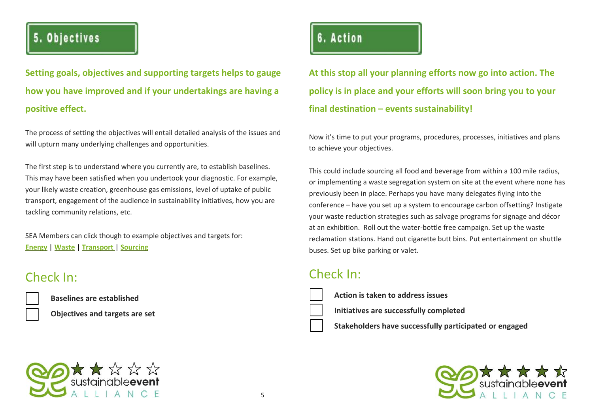### 5. Objectives

**Setting goals, objectives and supporting targets helps to gauge how you have improved and if your undertakings are having a positive effect.**

The process of setting the objectives will entail detailed analysis of the issues and will upturn many underlying challenges and opportunities.

The first step is to understand where you currently are, to establish baselines. This may have been satisfied when you undertook your diagnostic. For example, your likely waste creation, greenhouse gas emissions, level of uptake of public transport, engagement of the audience in sustainability initiatives, how you are tackling community relations, etc.

SEA Members can click though to example objectives and targets for: **[Energy](http://sustainable-event-alliance.org/?page_id=10795)** | **[Waste](http://sustainable-event-alliance.org/?page_id=10798)** | **[Transport](http://sustainable-event-alliance.org/?page_id=12172)** | **[Sourcing](http://sustainable-event-alliance.org/?page_id=12176)**

#### Check In:

**Baselines are established** 



 **Objectives and targets are set** 



## 6. Action

**At this stop all your planning efforts now go into action. The policy is in place and your efforts will soon bring you to your final destination – events sustainability!**

Now it's time to put your programs, procedures, processes, initiatives and plans to achieve your objectives.

This could include sourcing all food and beverage from within a 100 mile radius, or implementing a waste segregation system on site at the event where none has previously been in place. Perhaps you have many delegates flying into the conference – have you set up a system to encourage carbon offsetting? Instigate your waste reduction strategies such as salvage programs for signage and décor at an exhibition. Roll out the water-bottle free campaign. Set up the waste reclamation stations. Hand out cigarette butt bins. Put entertainment on shuttle buses. Set up bike parking or valet.

### Check In:

- **Action is taken to address issues**
- **Initiatives are successfully completed**
- **Stakeholders have successfully participated or engaged**